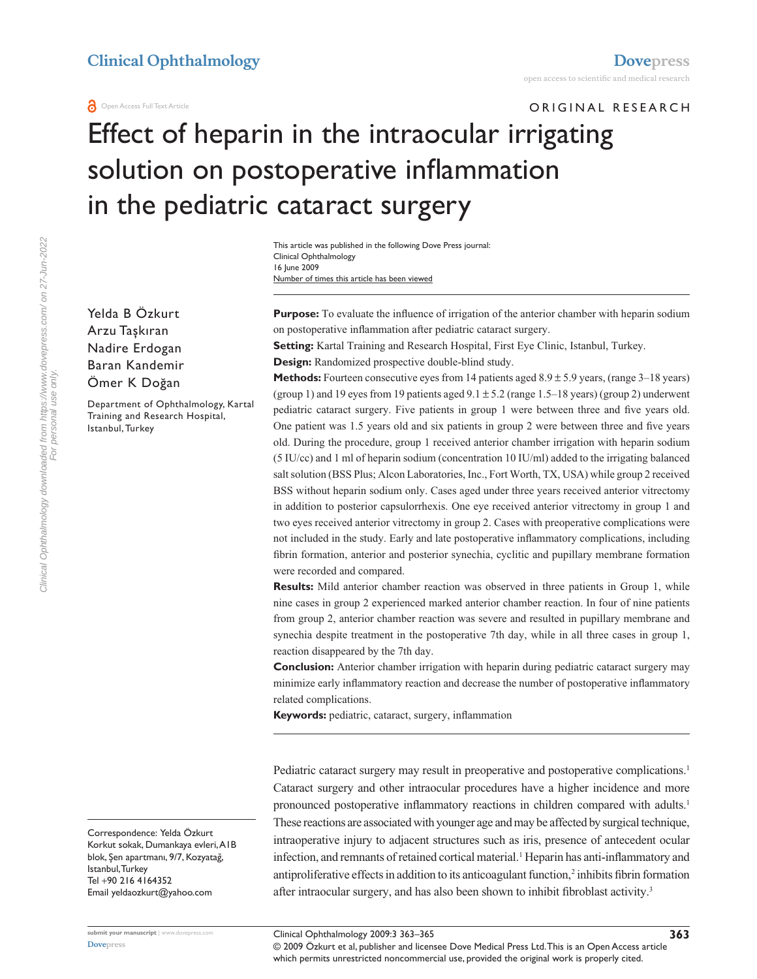ORIGINAL RESEARCH

# Effect of heparin in the intraocular irrigating solution on postoperative inflammation in the pediatric cataract surgery

Number of times this article has been viewed This article was published in the following Dove Press journal: Clinical Ophthalmology 16 June 2009

Yelda B Özkurt Arzu Taşkıran Nadire Erdogan Baran Kandemir Ömer K Doğan

Department of Ophthalmology, Kartal Training and Research Hospital, Istanbul, Turkey

**Purpose:** To evaluate the influence of irrigation of the anterior chamber with heparin sodium on postoperative inflammation after pediatric cataract surgery.

**Setting:** Kartal Training and Research Hospital, First Eye Clinic, Istanbul, Turkey.

**Design:** Randomized prospective double-blind study.

**Methods:** Fourteen consecutive eyes from 14 patients aged  $8.9 \pm 5.9$  years, (range  $3-18$  years) (group 1) and 19 eyes from 19 patients aged  $9.1 \pm 5.2$  (range 1.5–18 years) (group 2) underwent pediatric cataract surgery. Five patients in group 1 were between three and five years old. One patient was 1.5 years old and six patients in group 2 were between three and five years old. During the procedure, group 1 received anterior chamber irrigation with heparin sodium (5 IU/cc) and 1 ml of heparin sodium (concentration 10 IU/ml) added to the irrigating balanced salt solution (BSS Plus; Alcon Laboratories, Inc., Fort Worth, TX, USA) while group 2 received BSS without heparin sodium only. Cases aged under three years received anterior vitrectomy in addition to posterior capsulorrhexis. One eye received anterior vitrectomy in group 1 and two eyes received anterior vitrectomy in group 2. Cases with preoperative complications were not included in the study. Early and late postoperative inflammatory complications, including fibrin formation, anterior and posterior synechia, cyclitic and pupillary membrane formation were recorded and compared.

**Results:** Mild anterior chamber reaction was observed in three patients in Group 1, while nine cases in group 2 experienced marked anterior chamber reaction. In four of nine patients from group 2, anterior chamber reaction was severe and resulted in pupillary membrane and synechia despite treatment in the postoperative 7th day, while in all three cases in group 1, reaction disappeared by the 7th day.

**Conclusion:** Anterior chamber irrigation with heparin during pediatric cataract surgery may minimize early inflammatory reaction and decrease the number of postoperative inflammatory related complications.

**Keywords:** pediatric, cataract, surgery, inflammation

Pediatric cataract surgery may result in preoperative and postoperative complications.<sup>1</sup> Cataract surgery and other intraocular procedures have a higher incidence and more pronounced postoperative inflammatory reactions in children compared with adults.1 These reactions are associated with younger age and may be affected by surgical technique, intraoperative injury to adjacent structures such as iris, presence of antecedent ocular infection, and remnants of retained cortical material.<sup>1</sup> Heparin has anti-inflammatory and antiproliferative effects in addition to its anticoagulant function,<sup>2</sup> inhibits fibrin formation after intraocular surgery, and has also been shown to inhibit fibroblast activity.3

Clinical Ophthalmology downloaded from https://www.dovepress.com/ on 27-Jun-2022<br>For personal use only. Clinical Ophthalmology downloaded from https://www.dovepress.com/ on 27-Jun-2022 For personal use only.

> Correspondence: Yelda Özkurt Korkut sokak, Dumankaya evleri, A1B blok, Şen apartmanı, 9/7, Kozyatağ, Istanbul, Turkey Tel +90 216 4164352 Email yeldaozkurt@yahoo.com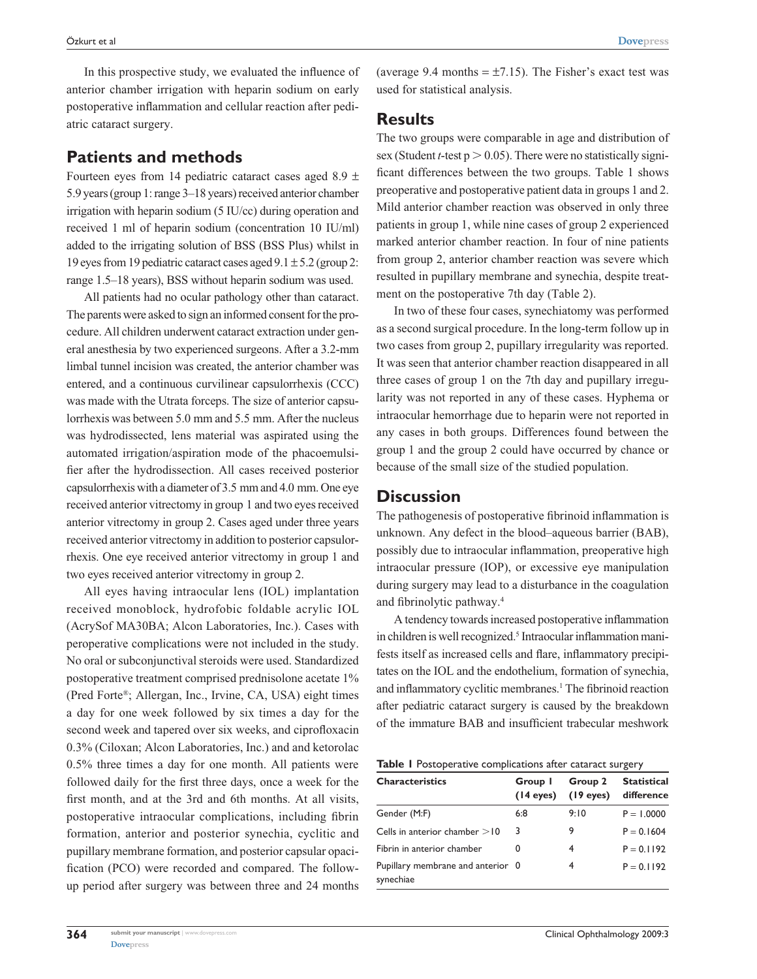In this prospective study, we evaluated the influence of anterior chamber irrigation with heparin sodium on early postoperative inflammation and cellular reaction after pedi-

# **Patients and methods**

atric cataract surgery.

Fourteen eyes from 14 pediatric cataract cases aged 8.9  $\pm$ 5.9 years (group 1: range 3–18 years) received anterior chamber irrigation with heparin sodium (5 IU/cc) during operation and received 1 ml of heparin sodium (concentration 10 IU/ml) added to the irrigating solution of BSS (BSS Plus) whilst in 19 eyes from 19 pediatric cataract cases aged  $9.1 \pm 5.2$  (group 2: range 1.5–18 years), BSS without heparin sodium was used.

All patients had no ocular pathology other than cataract. The parents were asked to sign an informed consent for the procedure. All children underwent cataract extraction under general anesthesia by two experienced surgeons. After a 3.2-mm limbal tunnel incision was created, the anterior chamber was entered, and a continuous curvilinear capsulorrhexis (CCC) was made with the Utrata forceps. The size of anterior capsulorrhexis was between 5.0 mm and 5.5 mm. After the nucleus was hydrodissected, lens material was aspirated using the automated irrigation/aspiration mode of the phacoemulsifier after the hydrodissection. All cases received posterior capsulorrhexis with a diameter of 3.5 mm and 4.0 mm. One eye received anterior vitrectomy in group 1 and two eyes received anterior vitrectomy in group 2. Cases aged under three years received anterior vitrectomy in addition to posterior capsulorrhexis. One eye received anterior vitrectomy in group 1 and two eyes received anterior vitrectomy in group 2.

All eyes having intraocular lens (IOL) implantation received monoblock, hydrofobic foldable acrylic IOL (AcrySof MA30BA; Alcon Laboratories, Inc.). Cases with peroperative complications were not included in the study. No oral or subconjunctival steroids were used. Standardized postoperative treatment comprised prednisolone acetate 1% (Pred Forte®; Allergan, Inc., Irvine, CA, USA) eight times a day for one week followed by six times a day for the second week and tapered over six weeks, and ciprofloxacin 0.3% (Ciloxan; Alcon Laboratories, Inc.) and and ketorolac 0.5% three times a day for one month. All patients were followed daily for the first three days, once a week for the first month, and at the 3rd and 6th months. At all visits, postoperative intraocular complications, including fibrin formation, anterior and posterior synechia, cyclitic and pupillary membrane formation, and posterior capsular opacification (PCO) were recorded and compared. The followup period after surgery was between three and 24 months (average 9.4 months  $= \pm 7.15$ ). The Fisher's exact test was used for statistical analysis.

### **Results**

The two groups were comparable in age and distribution of sex (Student  $t$ -test  $p > 0.05$ ). There were no statistically significant differences between the two groups. Table 1 shows preoperative and postoperative patient data in groups 1 and 2. Mild anterior chamber reaction was observed in only three patients in group 1, while nine cases of group 2 experienced marked anterior chamber reaction. In four of nine patients from group 2, anterior chamber reaction was severe which resulted in pupillary membrane and synechia, despite treatment on the postoperative 7th day (Table 2).

In two of these four cases, synechiatomy was performed as a second surgical procedure. In the long-term follow up in two cases from group 2, pupillary irregularity was reported. It was seen that anterior chamber reaction disappeared in all three cases of group 1 on the 7th day and pupillary irregularity was not reported in any of these cases. Hyphema or intraocular hemorrhage due to heparin were not reported in any cases in both groups. Differences found between the group 1 and the group 2 could have occurred by chance or because of the small size of the studied population.

## **Discussion**

The pathogenesis of postoperative fibrinoid inflammation is unknown. Any defect in the blood–aqueous barrier (BAB), possibly due to intraocular inflammation, preoperative high intraocular pressure (IOP), or excessive eye manipulation during surgery may lead to a disturbance in the coagulation and fibrinolytic pathway.4

A tendency towards increased postoperative inflammation in children is well recognized.<sup>5</sup> Intraocular inflammation manifests itself as increased cells and flare, inflammatory precipitates on the IOL and the endothelium, formation of synechia, and inflammatory cyclitic membranes.<sup>1</sup> The fibrinoid reaction after pediatric cataract surgery is caused by the breakdown of the immature BAB and insufficient trabecular meshwork

| Table I Postoperative complications after cataract surgery |
|------------------------------------------------------------|
|------------------------------------------------------------|

| Group 1<br>(14 eyes) | Group 2<br>$(19$ eyes)            | <b>Statistical</b><br>difference |
|----------------------|-----------------------------------|----------------------------------|
| 6:8                  | 9:10                              | $P = 1.0000$                     |
| 3                    | 9                                 | $P = 0.1604$                     |
| 0                    | 4                                 | $P = 0.1192$                     |
|                      | 4                                 | $P = 0.1192$                     |
|                      | Pupillary membrane and anterior 0 |                                  |